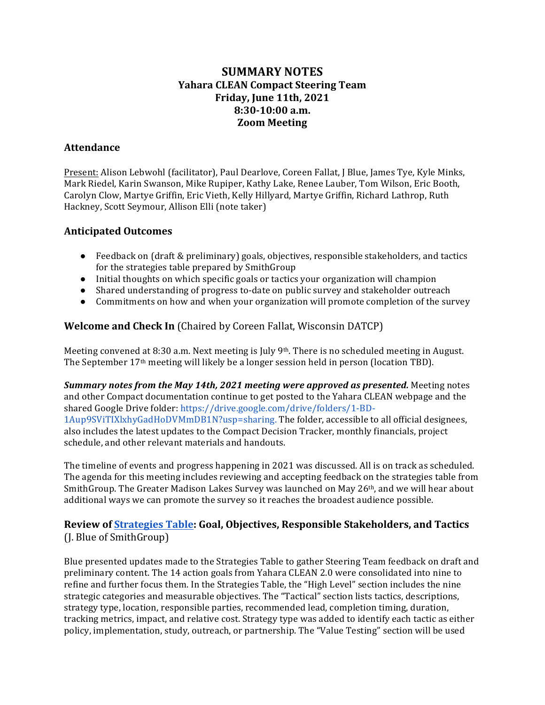# **SUMMARY NOTES Yahara CLEAN Compact Steering Team Friday, June 11th, 2021 8:30-10:00 a.m. Zoom Meeting**

#### **Attendance**

Present: Alison Lebwohl (facilitator), Paul Dearlove, Coreen Fallat, J Blue, James Tye, Kyle Minks, Mark Riedel, Karin Swanson, Mike Rupiper, Kathy Lake, Renee Lauber, Tom Wilson, Eric Booth, Carolyn Clow, Martye Griffin, Eric Vieth, Kelly Hillyard, Martye Griffin, Richard Lathrop, Ruth Hackney, Scott Seymour, Allison Elli (note taker)

#### **Anticipated Outcomes**

- Feedback on  $\int dr$  (draft & preliminary) goals, objectives, responsible stakeholders, and tactics for the strategies table prepared by SmithGroup
- Initial thoughts on which specific goals or tactics your organization will champion
- Shared understanding of progress to-date on public survey and stakeholder outreach
- Commitments on how and when your organization will promote completion of the survey

## **Welcome and Check In** (Chaired by Coreen Fallat, Wisconsin DATCP)

Meeting convened at 8:30 a.m. Next meeting is July 9th. There is no scheduled meeting in August. The September 17<sup>th</sup> meeting will likely be a longer session held in person (location TBD).

**Summary notes from the May 14th, 2021 meeting were approved as presented.** Meeting notes and other Compact documentation continue to get posted to the Yahara CLEAN webpage and the shared Google Drive folder: https://drive.google.com/drive/folders/1-BD-1Aup9SViTIXlxhyGadHoDVMmDB1N?usp=sharing. The folder, accessible to all official designees, also includes the latest updates to the Compact Decision Tracker, monthly financials, project schedule, and other relevant materials and handouts.

The timeline of events and progress happening in 2021 was discussed. All is on track as scheduled. The agenda for this meeting includes reviewing and accepting feedback on the strategies table from SmithGroup. The Greater Madison Lakes Survey was launched on May 26th, and we will hear about additional ways we can promote the survey so it reaches the broadest audience possible.

## **Review of Strategies Table: Goal, Objectives, Responsible Stakeholders, and Tactics** (J. Blue of SmithGroup)

Blue presented updates made to the Strategies Table to gather Steering Team feedback on draft and preliminary content. The 14 action goals from Yahara CLEAN 2.0 were consolidated into nine to refine and further focus them. In the Strategies Table, the "High Level" section includes the nine strategic categories and measurable objectives. The "Tactical" section lists tactics, descriptions, strategy type, location, responsible parties, recommended lead, completion timing, duration, tracking metrics, impact, and relative cost. Strategy type was added to identify each tactic as either policy, implementation, study, outreach, or partnership. The "Value Testing" section will be used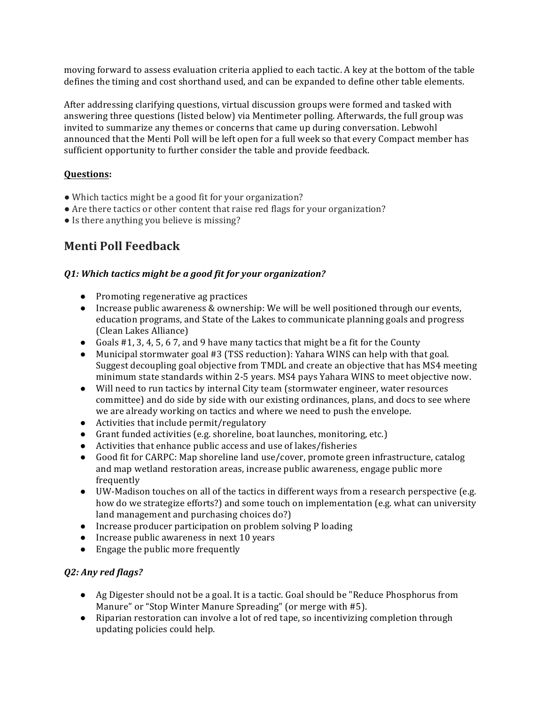moving forward to assess evaluation criteria applied to each tactic. A key at the bottom of the table defines the timing and cost shorthand used, and can be expanded to define other table elements.

After addressing clarifying questions, virtual discussion groups were formed and tasked with answering three questions (listed below) via Mentimeter polling. Afterwards, the full group was invited to summarize any themes or concerns that came up during conversation. Lebwohl announced that the Menti Poll will be left open for a full week so that every Compact member has sufficient opportunity to further consider the table and provide feedback.

#### **Questions:**

- Which tactics might be a good fit for your organization?
- $\bullet$  Are there tactics or other content that raise red flags for your organization?
- Is there anything you believe is missing?

# **Menti Poll Feedback**

#### **Q1:** Which tactics might be a good fit for your organization?

- Promoting regenerative ag practices
- Increase public awareness & ownership: We will be well positioned through our events, education programs, and State of the Lakes to communicate planning goals and progress (Clean Lakes Alliance)
- Goals  $#1$ , 3, 4, 5, 6 7, and 9 have many tactics that might be a fit for the County
- Municipal stormwater goal #3 (TSS reduction): Yahara WINS can help with that goal. Suggest decoupling goal objective from TMDL and create an objective that has MS4 meeting minimum state standards within 2-5 years. MS4 pays Yahara WINS to meet objective now.
- Will need to run tactics by internal City team (stormwater engineer, water resources committee) and do side by side with our existing ordinances, plans, and docs to see where we are already working on tactics and where we need to push the envelope.
- $\bullet$  Activities that include permit/regulatory
- Grant funded activities (e.g. shoreline, boat launches, monitoring, etc.)
- $\bullet$  Activities that enhance public access and use of lakes/fisheries
- Good fit for CARPC: Map shoreline land use/cover, promote green infrastructure, catalog and map wetland restoration areas, increase public awareness, engage public more frequently
- $\bullet$  UW-Madison touches on all of the tactics in different ways from a research perspective (e.g. how do we strategize efforts?) and some touch on implementation (e.g. what can university land management and purchasing choices do?)
- Increase producer participation on problem solving P loading
- Increase public awareness in next 10 years
- $\bullet$  Engage the public more frequently

#### *Q2: Any red flags?*

- Ag Digester should not be a goal. It is a tactic. Goal should be "Reduce Phosphorus from Manure" or "Stop Winter Manure Spreading" (or merge with #5).
- Riparian restoration can involve a lot of red tape, so incentivizing completion through updating policies could help.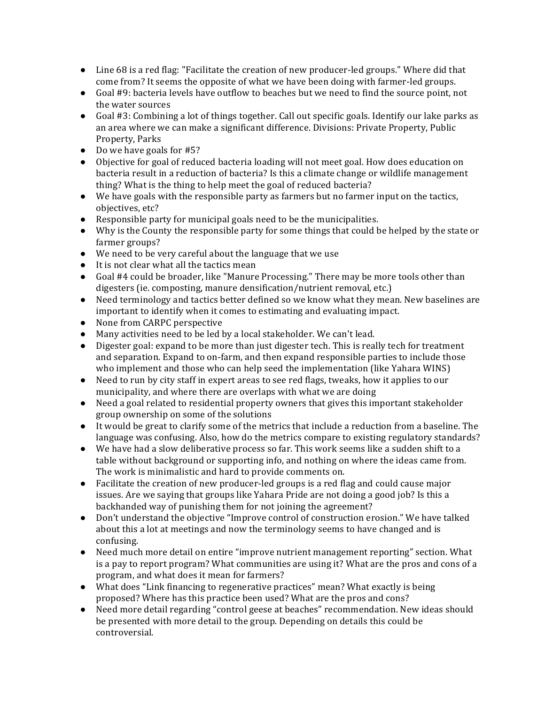- $\bullet$  Line 68 is a red flag: "Facilitate the creation of new producer-led groups." Where did that come from? It seems the opposite of what we have been doing with farmer-led groups.
- Goal #9: bacteria levels have outflow to beaches but we need to find the source point, not the water sources
- Goal #3: Combining a lot of things together. Call out specific goals. Identify our lake parks as an area where we can make a significant difference. Divisions: Private Property, Public Property, Parks
- Do we have goals for #5?
- Objective for goal of reduced bacteria loading will not meet goal. How does education on bacteria result in a reduction of bacteria? Is this a climate change or wildlife management thing? What is the thing to help meet the goal of reduced bacteria?
- We have goals with the responsible party as farmers but no farmer input on the tactics, objectives, etc?
- Responsible party for municipal goals need to be the municipalities.
- Why is the County the responsible party for some things that could be helped by the state or farmer groups?
- We need to be very careful about the language that we use
- It is not clear what all the tactics mean
- Goal #4 could be broader, like "Manure Processing." There may be more tools other than digesters (ie. composting, manure densification/nutrient removal, etc.)
- Need terminology and tactics better defined so we know what they mean. New baselines are important to identify when it comes to estimating and evaluating impact.
- None from CARPC perspective
- Many activities need to be led by a local stakeholder. We can't lead.
- Digester goal: expand to be more than just digester tech. This is really tech for treatment and separation. Expand to on-farm, and then expand responsible parties to include those who implement and those who can help seed the implementation (like Yahara WINS)
- Need to run by city staff in expert areas to see red flags, tweaks, how it applies to our municipality, and where there are overlaps with what we are doing
- Need a goal related to residential property owners that gives this important stakeholder group ownership on some of the solutions
- It would be great to clarify some of the metrics that include a reduction from a baseline. The language was confusing. Also, how do the metrics compare to existing regulatory standards?
- We have had a slow deliberative process so far. This work seems like a sudden shift to a table without background or supporting info, and nothing on where the ideas came from. The work is minimalistic and hard to provide comments on.
- Facilitate the creation of new producer-led groups is a red flag and could cause major issues. Are we saying that groups like Yahara Pride are not doing a good job? Is this a backhanded way of punishing them for not joining the agreement?
- Don't understand the objective "Improve control of construction erosion." We have talked about this a lot at meetings and now the terminology seems to have changed and is confusing.
- Need much more detail on entire "improve nutrient management reporting" section. What is a pay to report program? What communities are using it? What are the pros and cons of a program, and what does it mean for farmers?
- What does "Link financing to regenerative practices" mean? What exactly is being proposed? Where has this practice been used? What are the pros and cons?
- Need more detail regarding "control geese at beaches" recommendation. New ideas should be presented with more detail to the group. Depending on details this could be controversial.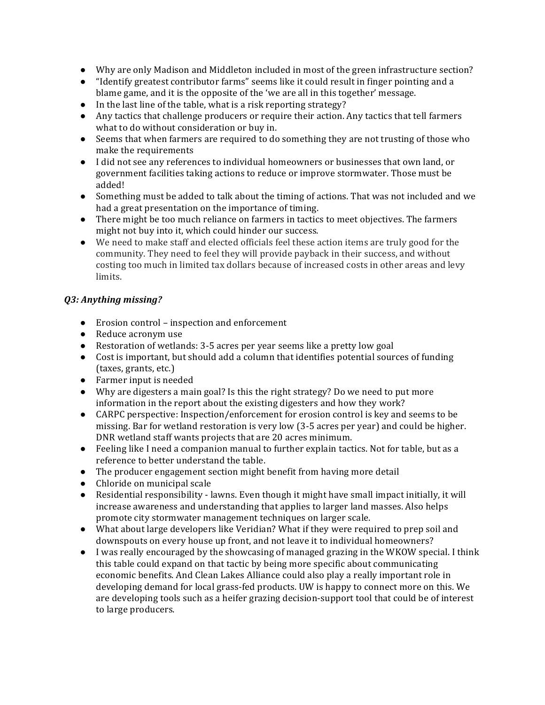- Why are only Madison and Middleton included in most of the green infrastructure section?
- "Identify greatest contributor farms" seems like it could result in finger pointing and a blame game, and it is the opposite of the 'we are all in this together' message.
- $\bullet$  In the last line of the table, what is a risk reporting strategy?
- Any tactics that challenge producers or require their action. Any tactics that tell farmers what to do without consideration or buy in.
- Seems that when farmers are required to do something they are not trusting of those who make the requirements
- I did not see any references to individual homeowners or businesses that own land, or government facilities taking actions to reduce or improve stormwater. Those must be added!
- Something must be added to talk about the timing of actions. That was not included and we had a great presentation on the importance of timing.
- There might be too much reliance on farmers in tactics to meet objectives. The farmers might not buy into it, which could hinder our success.
- We need to make staff and elected officials feel these action items are truly good for the community. They need to feel they will provide payback in their success, and without costing too much in limited tax dollars because of increased costs in other areas and levy limits.

#### *Q3: Anything missing?*

- Erosion control inspection and enforcement
- Reduce acronym use
- Restoration of wetlands: 3-5 acres per year seems like a pretty low goal
- Cost is important, but should add a column that identifies potential sources of funding (taxes, grants, etc.)
- $\bullet$  Farmer input is needed
- Why are digesters a main goal? Is this the right strategy? Do we need to put more information in the report about the existing digesters and how they work?
- CARPC perspective: Inspection/enforcement for erosion control is key and seems to be missing. Bar for wetland restoration is very low (3-5 acres per year) and could be higher. DNR wetland staff wants projects that are 20 acres minimum.
- Feeling like I need a companion manual to further explain tactics. Not for table, but as a reference to better understand the table.
- The producer engagement section might benefit from having more detail
- Chloride on municipal scale
- Residential responsibility lawns. Even though it might have small impact initially, it will increase awareness and understanding that applies to larger land masses. Also helps promote city stormwater management techniques on larger scale.
- What about large developers like Veridian? What if they were required to prep soil and downspouts on every house up front, and not leave it to individual homeowners?
- I was really encouraged by the showcasing of managed grazing in the WKOW special. I think this table could expand on that tactic by being more specific about communicating economic benefits. And Clean Lakes Alliance could also play a really important role in developing demand for local grass-fed products. UW is happy to connect more on this. We are developing tools such as a heifer grazing decision-support tool that could be of interest to large producers.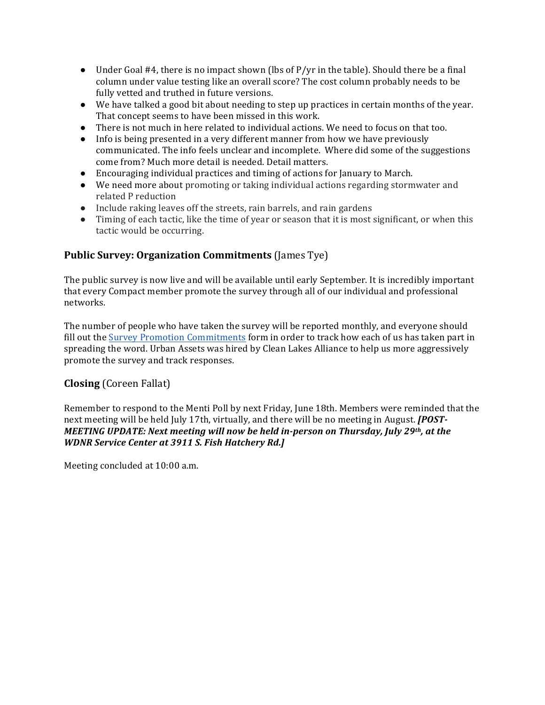- Under Goal #4, there is no impact shown (lbs of  $P/yr$  in the table). Should there be a final column under value testing like an overall score? The cost column probably needs to be fully vetted and truthed in future versions.
- $\bullet$  We have talked a good bit about needing to step up practices in certain months of the year. That concept seems to have been missed in this work.
- There is not much in here related to individual actions. We need to focus on that too.
- Info is being presented in a very different manner from how we have previously communicated. The info feels unclear and incomplete. Where did some of the suggestions come from? Much more detail is needed. Detail matters.
- $\bullet$  Encouraging individual practices and timing of actions for January to March.
- We need more about promoting or taking individual actions regarding stormwater and related P reduction
- Include raking leaves off the streets, rain barrels, and rain gardens
- Timing of each tactic, like the time of year or season that it is most significant, or when this tactic would be occurring.

## **Public Survey: Organization Commitments** (James Tye)

The public survey is now live and will be available until early September. It is incredibly important that every Compact member promote the survey through all of our individual and professional networks. 

The number of people who have taken the survey will be reported monthly, and everyone should fill out the **Survey Promotion Commitments** form in order to track how each of us has taken part in spreading the word. Urban Assets was hired by Clean Lakes Alliance to help us more aggressively promote the survey and track responses.

## **Closing** (Coreen Fallat)

Remember to respond to the Menti Poll by next Friday, June 18th. Members were reminded that the next meeting will be held July 17th, virtually, and there will be no meeting in August. **[POST-***MEETING UPDATE: Next meeting will now be held in-person on Thursday, July 29th, at the WDNR Service Center at 3911 S. Fish Hatchery Rd.]* 

Meeting concluded at 10:00 a.m.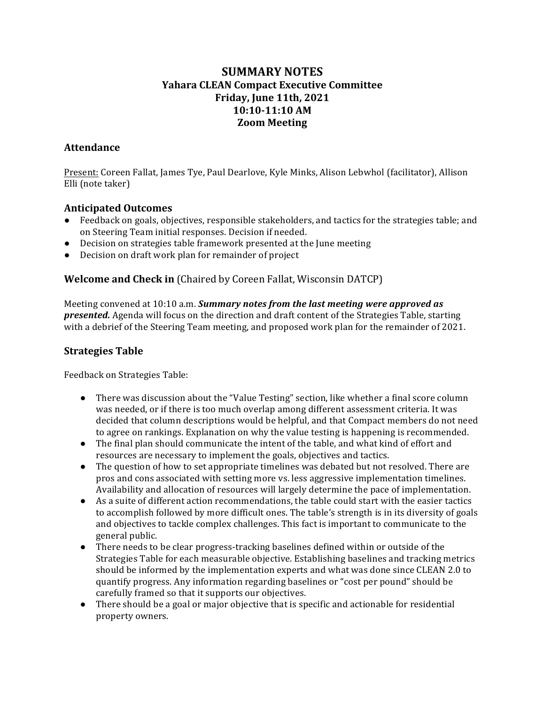# **SUMMARY NOTES Yahara CLEAN Compact Executive Committee Friday, June 11th, 2021 10:10-11:10 AM Zoom Meeting**

## **Attendance**

Present: Coreen Fallat, James Tye, Paul Dearlove, Kyle Minks, Alison Lebwhol (facilitator), Allison Elli (note taker)

#### **Anticipated Outcomes**

- Feedback on goals, objectives, responsible stakeholders, and tactics for the strategies table; and on Steering Team initial responses. Decision if needed.
- Decision on strategies table framework presented at the June meeting
- Decision on draft work plan for remainder of project

## **Welcome and Check in** (Chaired by Coreen Fallat, Wisconsin DATCP)

Meeting convened at 10:10 a.m. **Summary notes from the last meeting were approved as** *presented.* Agenda will focus on the direction and draft content of the Strategies Table, starting with a debrief of the Steering Team meeting, and proposed work plan for the remainder of 2021.

## **Strategies Table**

Feedback on Strategies Table:

- There was discussion about the "Value Testing" section, like whether a final score column was needed, or if there is too much overlap among different assessment criteria. It was decided that column descriptions would be helpful, and that Compact members do not need to agree on rankings. Explanation on why the value testing is happening is recommended.
- The final plan should communicate the intent of the table, and what kind of effort and resources are necessary to implement the goals, objectives and tactics.
- The question of how to set appropriate timelines was debated but not resolved. There are pros and cons associated with setting more vs. less aggressive implementation timelines. Availability and allocation of resources will largely determine the pace of implementation.
- As a suite of different action recommendations, the table could start with the easier tactics to accomplish followed by more difficult ones. The table's strength is in its diversity of goals and objectives to tackle complex challenges. This fact is important to communicate to the general public.
- There needs to be clear progress-tracking baselines defined within or outside of the Strategies Table for each measurable objective. Establishing baselines and tracking metrics should be informed by the implementation experts and what was done since CLEAN 2.0 to quantify progress. Any information regarding baselines or "cost per pound" should be carefully framed so that it supports our objectives.
- $\bullet$  There should be a goal or major objective that is specific and actionable for residential property owners.